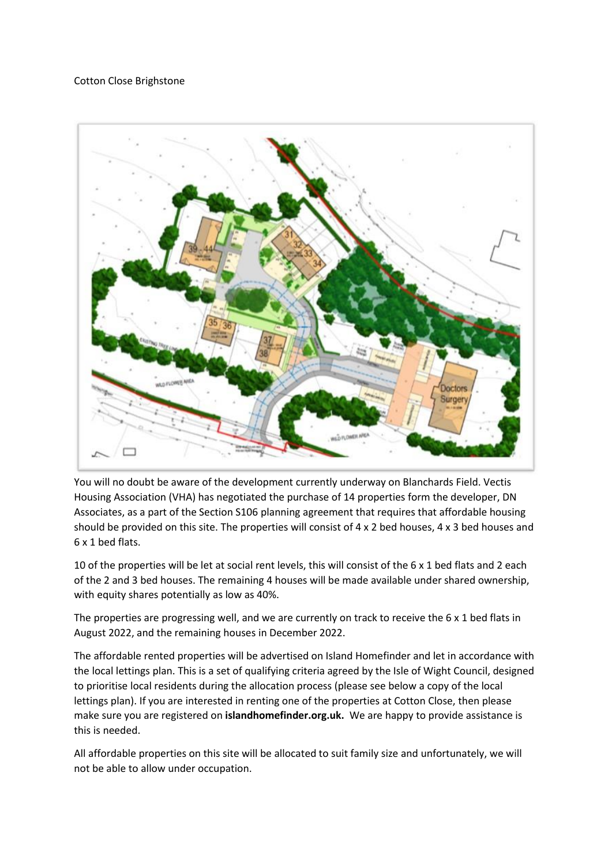## Cotton Close Brighstone



You will no doubt be aware of the development currently underway on Blanchards Field. Vectis Housing Association (VHA) has negotiated the purchase of 14 properties form the developer, DN Associates, as a part of the Section S106 planning agreement that requires that affordable housing should be provided on this site. The properties will consist of 4 x 2 bed houses, 4 x 3 bed houses and 6 x 1 bed flats.

10 of the properties will be let at social rent levels, this will consist of the 6 x 1 bed flats and 2 each of the 2 and 3 bed houses. The remaining 4 houses will be made available under shared ownership, with equity shares potentially as low as 40%.

The properties are progressing well, and we are currently on track to receive the 6 x 1 bed flats in August 2022, and the remaining houses in December 2022.

The affordable rented properties will be advertised on Island Homefinder and let in accordance with the local lettings plan. This is a set of qualifying criteria agreed by the Isle of Wight Council, designed to prioritise local residents during the allocation process (please see below a copy of the local lettings plan). If you are interested in renting one of the properties at Cotton Close, then please make sure you are registered on **islandhomefinder.org.uk.** We are happy to provide assistance is this is needed.

All affordable properties on this site will be allocated to suit family size and unfortunately, we will not be able to allow under occupation.